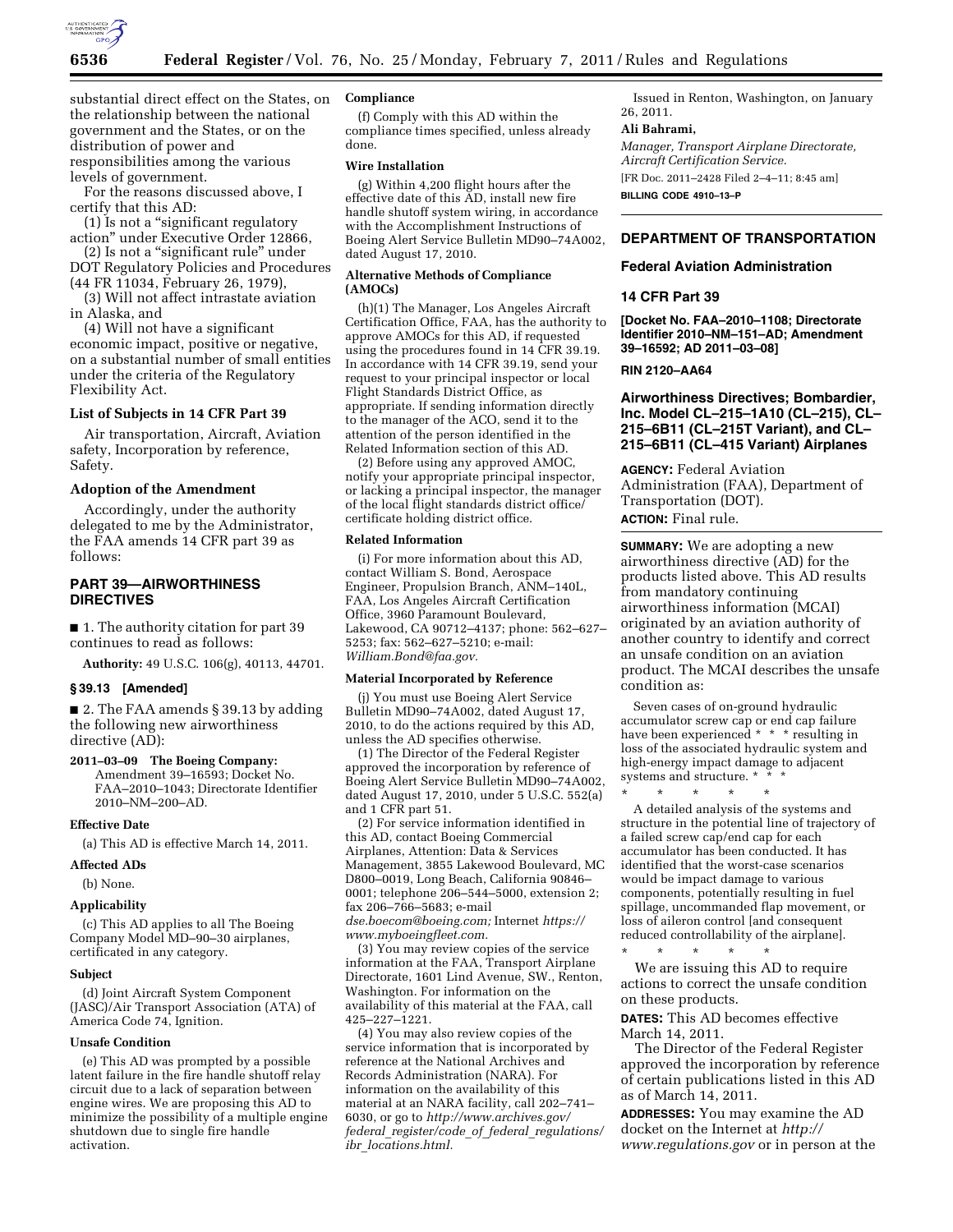

substantial direct effect on the States, on the relationship between the national government and the States, or on the distribution of power and responsibilities among the various levels of government.

For the reasons discussed above, I certify that this AD:

(1) Is not a ''significant regulatory action'' under Executive Order 12866,

(2) Is not a ''significant rule'' under DOT Regulatory Policies and Procedures

(44 FR 11034, February 26, 1979), (3) Will not affect intrastate aviation

in Alaska, and

(4) Will not have a significant economic impact, positive or negative, on a substantial number of small entities under the criteria of the Regulatory Flexibility Act.

## **List of Subjects in 14 CFR Part 39**

Air transportation, Aircraft, Aviation safety, Incorporation by reference, Safety.

# **Adoption of the Amendment**

Accordingly, under the authority delegated to me by the Administrator, the FAA amends 14 CFR part 39 as follows:

# **PART 39—AIRWORTHINESS DIRECTIVES**

■ 1. The authority citation for part 39 continues to read as follows:

**Authority:** 49 U.S.C. 106(g), 40113, 44701.

#### **§ 39.13 [Amended]**

■ 2. The FAA amends § 39.13 by adding the following new airworthiness directive (AD):

# **2011–03–09 The Boeing Company:**

Amendment 39–16593; Docket No. FAA–2010–1043; Directorate Identifier 2010–NM–200–AD.

### **Effective Date**

(a) This AD is effective March 14, 2011.

#### **Affected ADs**

(b) None.

### **Applicability**

(c) This AD applies to all The Boeing Company Model MD–90–30 airplanes, certificated in any category.

# **Subject**

(d) Joint Aircraft System Component (JASC)/Air Transport Association (ATA) of America Code 74, Ignition.

#### **Unsafe Condition**

(e) This AD was prompted by a possible latent failure in the fire handle shutoff relay circuit due to a lack of separation between engine wires. We are proposing this AD to minimize the possibility of a multiple engine shutdown due to single fire handle activation.

#### **Compliance**

(f) Comply with this AD within the compliance times specified, unless already done.

#### **Wire Installation**

(g) Within 4,200 flight hours after the effective date of this AD, install new fire handle shutoff system wiring, in accordance with the Accomplishment Instructions of Boeing Alert Service Bulletin MD90–74A002, dated August 17, 2010.

## **Alternative Methods of Compliance (AMOCs)**

(h)(1) The Manager, Los Angeles Aircraft Certification Office, FAA, has the authority to approve AMOCs for this AD, if requested using the procedures found in 14 CFR 39.19. In accordance with 14 CFR 39.19, send your request to your principal inspector or local Flight Standards District Office, as appropriate. If sending information directly to the manager of the ACO, send it to the attention of the person identified in the Related Information section of this AD.

(2) Before using any approved AMOC, notify your appropriate principal inspector, or lacking a principal inspector, the manager of the local flight standards district office/ certificate holding district office.

#### **Related Information**

(i) For more information about this AD, contact William S. Bond, Aerospace Engineer, Propulsion Branch, ANM–140L, FAA, Los Angeles Aircraft Certification Office, 3960 Paramount Boulevard, Lakewood, CA 90712–4137; phone: 562–627– 5253; fax: 562–627–5210; e-mail: *[William.Bond@faa.gov.](mailto:William.Bond@faa.gov)* 

#### **Material Incorporated by Reference**

(j) You must use Boeing Alert Service Bulletin MD90–74A002, dated August 17, 2010, to do the actions required by this AD, unless the AD specifies otherwise.

(1) The Director of the Federal Register approved the incorporation by reference of Boeing Alert Service Bulletin MD90–74A002, dated August 17, 2010, under 5 U.S.C. 552(a) and 1 CFR part 51.

(2) For service information identified in this AD, contact Boeing Commercial Airplanes, Attention: Data & Services Management, 3855 Lakewood Boulevard, MC D800–0019, Long Beach, California 90846– 0001; telephone 206–544–5000, extension 2; fax 206–766–5683; e-mail *[dse.boecom@boeing.com;](mailto:dse.boecom@boeing.com)* Internet *[https://](https://www.myboeingfleet.com)* 

*[www.myboeingfleet.com.](https://www.myboeingfleet.com)* 

(3) You may review copies of the service information at the FAA, Transport Airplane Directorate, 1601 Lind Avenue, SW., Renton, Washington. For information on the availability of this material at the FAA, call 425–227–1221.

(4) You may also review copies of the service information that is incorporated by reference at the National Archives and Records Administration (NARA). For information on the availability of this material at an NARA facility, call 202–741– 6030, or go to *[http://www.archives.gov/](http://www.archives.gov/federal_register/code_of_federal_regulations/ibr_locations.html)  federal*\_*[register/code](http://www.archives.gov/federal_register/code_of_federal_regulations/ibr_locations.html)*\_*of*\_*federal*\_*regulations/ ibr*\_*[locations.html.](http://www.archives.gov/federal_register/code_of_federal_regulations/ibr_locations.html)* 

Issued in Renton, Washington, on January 26, 2011.

### **Ali Bahrami,**

*Manager, Transport Airplane Directorate, Aircraft Certification Service.* 

[FR Doc. 2011–2428 Filed 2–4–11; 8:45 am] **BILLING CODE 4910–13–P** 

# **DEPARTMENT OF TRANSPORTATION**

## **Federal Aviation Administration**

# **14 CFR Part 39**

**[Docket No. FAA–2010–1108; Directorate Identifier 2010–NM–151–AD; Amendment 39–16592; AD 2011–03–08]** 

**RIN 2120–AA64** 

# **Airworthiness Directives; Bombardier, Inc. Model CL–215–1A10 (CL–215), CL– 215–6B11 (CL–215T Variant), and CL– 215–6B11 (CL–415 Variant) Airplanes**

**AGENCY:** Federal Aviation Administration (FAA), Department of Transportation (DOT). **ACTION:** Final rule.

**SUMMARY:** We are adopting a new airworthiness directive (AD) for the products listed above. This AD results from mandatory continuing airworthiness information (MCAI) originated by an aviation authority of another country to identify and correct an unsafe condition on an aviation product. The MCAI describes the unsafe condition as:

Seven cases of on-ground hydraulic accumulator screw cap or end cap failure have been experienced \* \* \* resulting in loss of the associated hydraulic system and high-energy impact damage to adjacent systems and structure. \* \*

\* \* \* \* \* A detailed analysis of the systems and structure in the potential line of trajectory of a failed screw cap/end cap for each accumulator has been conducted. It has identified that the worst-case scenarios would be impact damage to various components, potentially resulting in fuel spillage, uncommanded flap movement, or loss of aileron control [and consequent reduced controllability of the airplane].

\* \* \* \* \* We are issuing this AD to require actions to correct the unsafe condition on these products.

**DATES:** This AD becomes effective March 14, 2011.

The Director of the Federal Register approved the incorporation by reference of certain publications listed in this AD as of March 14, 2011.

**ADDRESSES:** You may examine the AD docket on the Internet at *[http://](http://www.regulations.gov)  [www.regulations.gov](http://www.regulations.gov)* or in person at the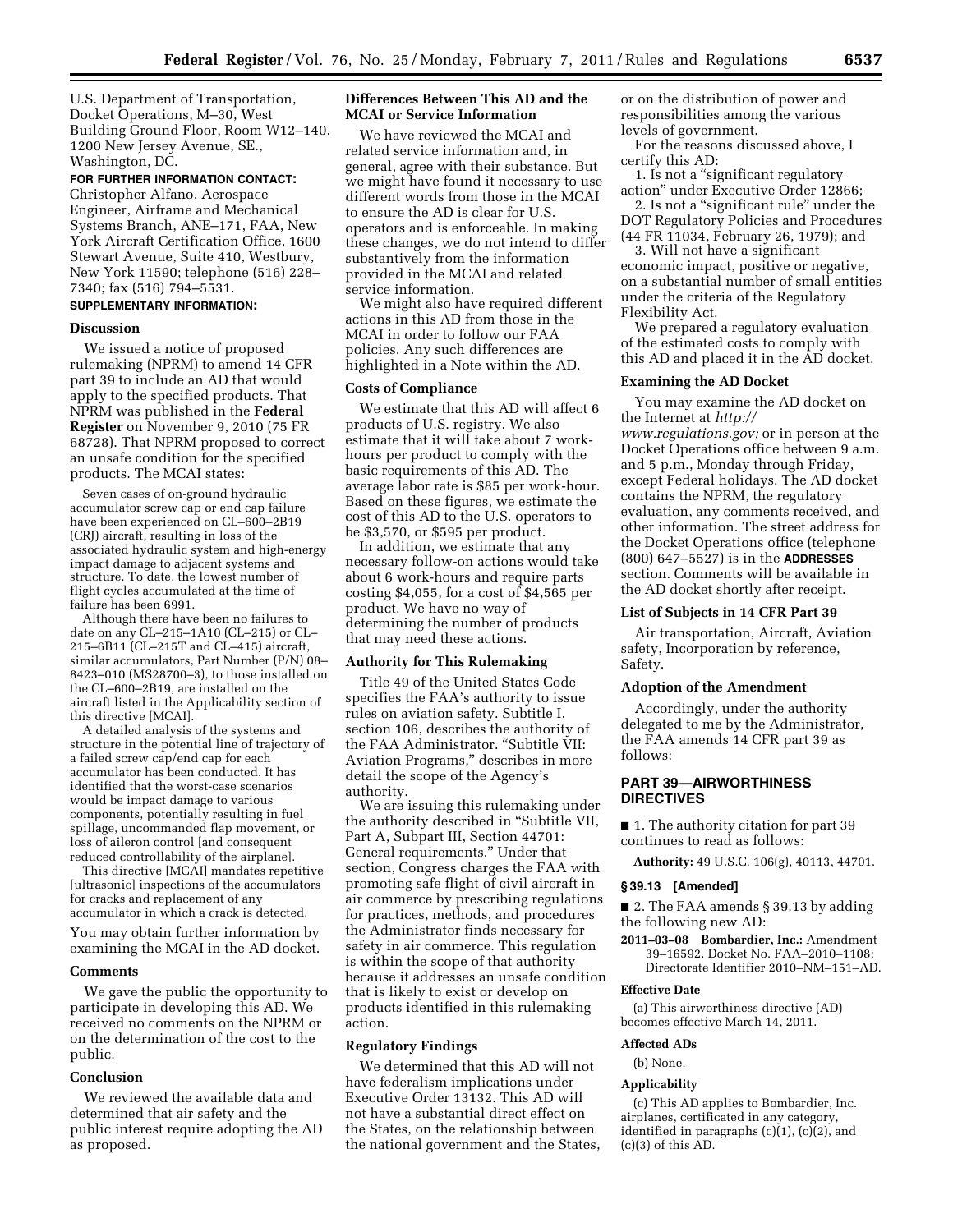U.S. Department of Transportation, Docket Operations, M–30, West Building Ground Floor, Room W12–140, 1200 New Jersey Avenue, SE., Washington, DC.

### **FOR FURTHER INFORMATION CONTACT:**

Christopher Alfano, Aerospace Engineer, Airframe and Mechanical Systems Branch, ANE–171, FAA, New York Aircraft Certification Office, 1600 Stewart Avenue, Suite 410, Westbury, New York 11590; telephone (516) 228– 7340; fax (516) 794–5531.

# **SUPPLEMENTARY INFORMATION:**

#### **Discussion**

We issued a notice of proposed rulemaking (NPRM) to amend 14 CFR part 39 to include an AD that would apply to the specified products. That NPRM was published in the **Federal Register** on November 9, 2010 (75 FR 68728). That NPRM proposed to correct an unsafe condition for the specified products. The MCAI states:

Seven cases of on-ground hydraulic accumulator screw cap or end cap failure have been experienced on CL–600–2B19 (CRJ) aircraft, resulting in loss of the associated hydraulic system and high-energy impact damage to adjacent systems and structure. To date, the lowest number of flight cycles accumulated at the time of failure has been 6991.

Although there have been no failures to date on any CL–215–1A10 (CL–215) or CL– 215–6B11 (CL–215T and CL–415) aircraft, similar accumulators, Part Number (P/N) 08– 8423–010 (MS28700–3), to those installed on the CL–600–2B19, are installed on the aircraft listed in the Applicability section of this directive [MCAI].

A detailed analysis of the systems and structure in the potential line of trajectory of a failed screw cap/end cap for each accumulator has been conducted. It has identified that the worst-case scenarios would be impact damage to various components, potentially resulting in fuel spillage, uncommanded flap movement, or loss of aileron control [and consequent reduced controllability of the airplane].

This directive [MCAI] mandates repetitive [ultrasonic] inspections of the accumulators for cracks and replacement of any accumulator in which a crack is detected. You may obtain further information by

examining the MCAI in the AD docket.

# **Comments**

We gave the public the opportunity to participate in developing this AD. We received no comments on the NPRM or on the determination of the cost to the public.

#### **Conclusion**

We reviewed the available data and determined that air safety and the public interest require adopting the AD as proposed.

# **Differences Between This AD and the MCAI or Service Information**

We have reviewed the MCAI and related service information and, in general, agree with their substance. But we might have found it necessary to use different words from those in the MCAI to ensure the AD is clear for U.S. operators and is enforceable. In making these changes, we do not intend to differ substantively from the information provided in the MCAI and related service information.

We might also have required different actions in this AD from those in the MCAI in order to follow our FAA policies. Any such differences are highlighted in a Note within the AD.

#### **Costs of Compliance**

We estimate that this AD will affect 6 products of U.S. registry. We also estimate that it will take about 7 workhours per product to comply with the basic requirements of this AD. The average labor rate is \$85 per work-hour. Based on these figures, we estimate the cost of this AD to the U.S. operators to be \$3,570, or \$595 per product.

In addition, we estimate that any necessary follow-on actions would take about 6 work-hours and require parts costing \$4,055, for a cost of \$4,565 per product. We have no way of determining the number of products that may need these actions.

#### **Authority for This Rulemaking**

Title 49 of the United States Code specifies the FAA's authority to issue rules on aviation safety. Subtitle I, section 106, describes the authority of the FAA Administrator. "Subtitle VII: Aviation Programs,'' describes in more detail the scope of the Agency's authority.

We are issuing this rulemaking under the authority described in ''Subtitle VII, Part A, Subpart III, Section 44701: General requirements.'' Under that section, Congress charges the FAA with promoting safe flight of civil aircraft in air commerce by prescribing regulations for practices, methods, and procedures the Administrator finds necessary for safety in air commerce. This regulation is within the scope of that authority because it addresses an unsafe condition that is likely to exist or develop on products identified in this rulemaking action.

# **Regulatory Findings**

We determined that this AD will not have federalism implications under Executive Order 13132. This AD will not have a substantial direct effect on the States, on the relationship between the national government and the States, or on the distribution of power and responsibilities among the various levels of government.

For the reasons discussed above, I certify this AD:

1. Is not a ''significant regulatory action'' under Executive Order 12866; 2. Is not a ''significant rule'' under the DOT Regulatory Policies and Procedures

(44 FR 11034, February 26, 1979); and 3. Will not have a significant economic impact, positive or negative, on a substantial number of small entities under the criteria of the Regulatory

Flexibility Act.

We prepared a regulatory evaluation of the estimated costs to comply with this AD and placed it in the AD docket.

# **Examining the AD Docket**

You may examine the AD docket on the Internet at *[http://](http://www.regulations.gov)  [www.regulations.gov;](http://www.regulations.gov)* or in person at the Docket Operations office between 9 a.m. and 5 p.m., Monday through Friday, except Federal holidays. The AD docket contains the NPRM, the regulatory evaluation, any comments received, and other information. The street address for the Docket Operations office (telephone (800) 647–5527) is in the **ADDRESSES** section. Comments will be available in the AD docket shortly after receipt.

### **List of Subjects in 14 CFR Part 39**

Air transportation, Aircraft, Aviation safety, Incorporation by reference, Safety.

#### **Adoption of the Amendment**

Accordingly, under the authority delegated to me by the Administrator, the FAA amends 14 CFR part 39 as follows:

# **PART 39—AIRWORTHINESS DIRECTIVES**

■ 1. The authority citation for part 39 continues to read as follows:

**Authority:** 49 U.S.C. 106(g), 40113, 44701.

### **§ 39.13 [Amended]**

■ 2. The FAA amends § 39.13 by adding the following new AD:

**2011–03–08 Bombardier, Inc.:** Amendment 39–16592. Docket No. FAA–2010–1108; Directorate Identifier 2010–NM–151–AD.

# **Effective Date**

(a) This airworthiness directive (AD) becomes effective March 14, 2011.

## **Affected ADs**

(b) None.

# **Applicability**

(c) This AD applies to Bombardier, Inc. airplanes, certificated in any category, identified in paragraphs (c)(1), (c)(2), and  $(c)(3)$  of this  $AD$ .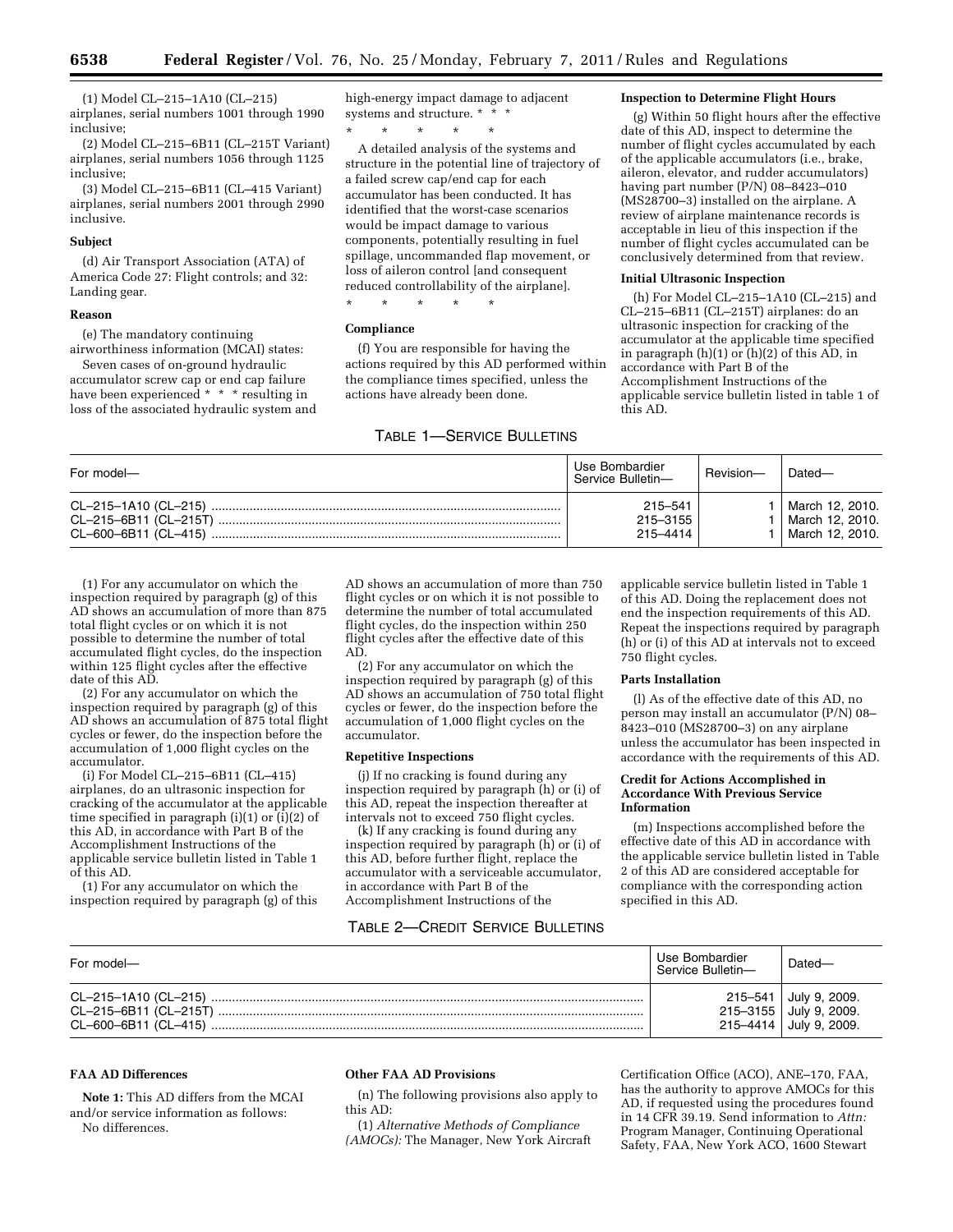(1) Model CL–215–1A10 (CL–215) airplanes, serial numbers 1001 through 1990 inclusive;

(2) Model CL–215–6B11 (CL–215T Variant) airplanes, serial numbers 1056 through 1125 inclusive;

(3) Model CL–215–6B11 (CL–415 Variant) airplanes, serial numbers 2001 through 2990 inclusive.

#### **Subject**

(d) Air Transport Association (ATA) of America Code 27: Flight controls; and 32: Landing gear.

#### **Reason**

(e) The mandatory continuing

airworthiness information (MCAI) states: Seven cases of on-ground hydraulic accumulator screw cap or end cap failure have been experienced \* \* \* resulting in loss of the associated hydraulic system and high-energy impact damage to adjacent systems and structure. \* \* \*

\* \* \* \* \*

A detailed analysis of the systems and structure in the potential line of trajectory of a failed screw cap/end cap for each accumulator has been conducted. It has identified that the worst-case scenarios would be impact damage to various components, potentially resulting in fuel spillage, uncommanded flap movement, or loss of aileron control [and consequent reduced controllability of the airplane].

\* \* \* \* \*

#### **Compliance**

(f) You are responsible for having the actions required by this AD performed within the compliance times specified, unless the actions have already been done.

# TABLE 1—SERVICE BULLETINS

## **Inspection to Determine Flight Hours**

(g) Within 50 flight hours after the effective date of this AD, inspect to determine the number of flight cycles accumulated by each of the applicable accumulators (i.e., brake, aileron, elevator, and rudder accumulators) having part number (P/N) 08–8423–010 (MS28700–3) installed on the airplane. A review of airplane maintenance records is acceptable in lieu of this inspection if the number of flight cycles accumulated can be conclusively determined from that review.

## **Initial Ultrasonic Inspection**

(h) For Model CL–215–1A10 (CL–215) and CL–215–6B11 (CL–215T) airplanes: do an ultrasonic inspection for cracking of the accumulator at the applicable time specified in paragraph  $(h)(1)$  or  $(h)(2)$  of this  $AD$ , in accordance with Part B of the Accomplishment Instructions of the applicable service bulletin listed in table 1 of this AD.

| For model-                                                                      | Use Bombardier<br>Service Bulletin- | Revision- | Dated-                                                  |
|---------------------------------------------------------------------------------|-------------------------------------|-----------|---------------------------------------------------------|
| CL-215-1A10 (CL-215) ………………………………………………………………………………………<br>CL-215-6B11 (CL-215T) | 215-541<br>215-3155<br>215–4414     |           | March 12, 2010.<br>  March 12. 2010.<br>March 12, 2010. |

(1) For any accumulator on which the inspection required by paragraph (g) of this AD shows an accumulation of more than 875 total flight cycles or on which it is not possible to determine the number of total accumulated flight cycles, do the inspection within 125 flight cycles after the effective date of this AD.

(2) For any accumulator on which the inspection required by paragraph (g) of this AD shows an accumulation of 875 total flight cycles or fewer, do the inspection before the accumulation of 1,000 flight cycles on the accumulator.

(i) For Model CL–215–6B11 (CL–415) airplanes, do an ultrasonic inspection for cracking of the accumulator at the applicable time specified in paragraph (i)(1) or (i)(2) of this AD, in accordance with Part B of the Accomplishment Instructions of the applicable service bulletin listed in Table 1 of this AD.

(1) For any accumulator on which the inspection required by paragraph (g) of this AD shows an accumulation of more than 750 flight cycles or on which it is not possible to determine the number of total accumulated flight cycles, do the inspection within 250 flight cycles after the effective date of this AD.

(2) For any accumulator on which the inspection required by paragraph (g) of this AD shows an accumulation of 750 total flight cycles or fewer, do the inspection before the accumulation of 1,000 flight cycles on the accumulator.

#### **Repetitive Inspections**

(j) If no cracking is found during any inspection required by paragraph (h) or (i) of this AD, repeat the inspection thereafter at intervals not to exceed 750 flight cycles.

(k) If any cracking is found during any inspection required by paragraph (h) or (i) of this AD, before further flight, replace the accumulator with a serviceable accumulator, in accordance with Part B of the Accomplishment Instructions of the

# TABLE 2—CREDIT SERVICE BULLETINS

applicable service bulletin listed in Table 1 of this AD. Doing the replacement does not end the inspection requirements of this AD. Repeat the inspections required by paragraph (h) or (i) of this AD at intervals not to exceed 750 flight cycles.

#### **Parts Installation**

(l) As of the effective date of this AD, no person may install an accumulator (P/N) 08– 8423–010 (MS28700–3) on any airplane unless the accumulator has been inspected in accordance with the requirements of this AD.

#### **Credit for Actions Accomplished in Accordance With Previous Service Information**

(m) Inspections accomplished before the effective date of this AD in accordance with the applicable service bulletin listed in Table 2 of this AD are considered acceptable for compliance with the corresponding action specified in this AD.

| For model- | Use Bombardier<br>Service Bulletin- | Dated-                                                                    |
|------------|-------------------------------------|---------------------------------------------------------------------------|
|            |                                     | 215-541 July 9, 2009.<br>215-3155 July 9, 2009.<br>215-4414 July 9, 2009. |

# **FAA AD Differences**

**Note 1:** This AD differs from the MCAI and/or service information as follows: No differences.

# **Other FAA AD Provisions**

(n) The following provisions also apply to this AD:

(1) *Alternative Methods of Compliance (AMOCs):* The Manager, New York Aircraft

Certification Office (ACO), ANE–170, FAA, has the authority to approve AMOCs for this AD, if requested using the procedures found in 14 CFR 39.19. Send information to *Attn:*  Program Manager, Continuing Operational Safety, FAA, New York ACO, 1600 Stewart